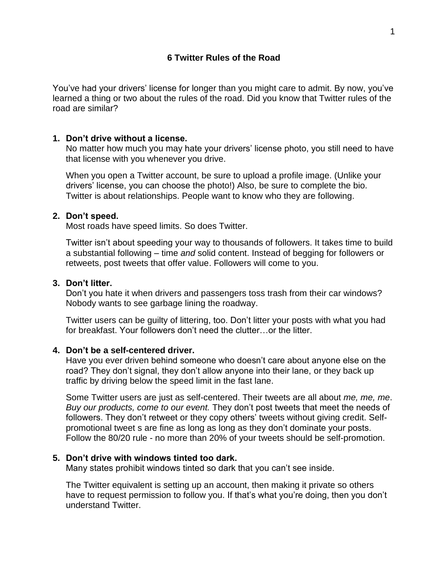You've had your drivers' license for longer than you might care to admit. By now, you've learned a thing or two about the rules of the road. Did you know that Twitter rules of the road are similar?

## **1. Don't drive without a license.**

No matter how much you may hate your drivers' license photo, you still need to have that license with you whenever you drive.

When you open a Twitter account, be sure to upload a profile image. (Unlike your drivers' license, you can choose the photo!) Also, be sure to complete the bio. Twitter is about relationships. People want to know who they are following.

### **2. Don't speed.**

Most roads have speed limits. So does Twitter.

Twitter isn't about speeding your way to thousands of followers. It takes time to build a substantial following – time *and* solid content. Instead of begging for followers or retweets, post tweets that offer value. Followers will come to you.

# **3. Don't litter.**

Don't you hate it when drivers and passengers toss trash from their car windows? Nobody wants to see garbage lining the roadway.

Twitter users can be guilty of littering, too. Don't litter your posts with what you had for breakfast. Your followers don't need the clutter…or the litter.

### **4. Don't be a self-centered driver.**

Have you ever driven behind someone who doesn't care about anyone else on the road? They don't signal, they don't allow anyone into their lane, or they back up traffic by driving below the speed limit in the fast lane.

Some Twitter users are just as self-centered. Their tweets are all about *me, me, me*. *Buy our products, come to our event.* They don't post tweets that meet the needs of followers. They don't retweet or they copy others' tweets without giving credit. Selfpromotional tweet s are fine as long as long as they don't dominate your posts. Follow the 80/20 rule - no more than 20% of your tweets should be self-promotion.

### **5. Don't drive with windows tinted too dark.**

Many states prohibit windows tinted so dark that you can't see inside.

The Twitter equivalent is setting up an account, then making it private so others have to request permission to follow you. If that's what you're doing, then you don't understand Twitter.